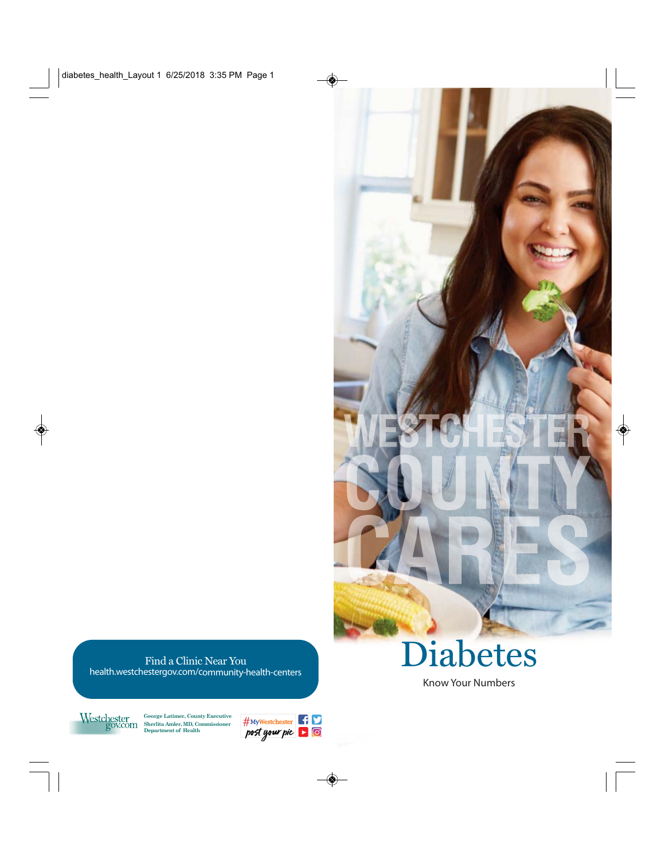# Diabetes

Know Your Numbers

Find a Clinic Near You

health.westchestergov.com/community-health-centers



**George Latimer, County Executive Sherlita Amler, MD, Commissioner Department of Health**